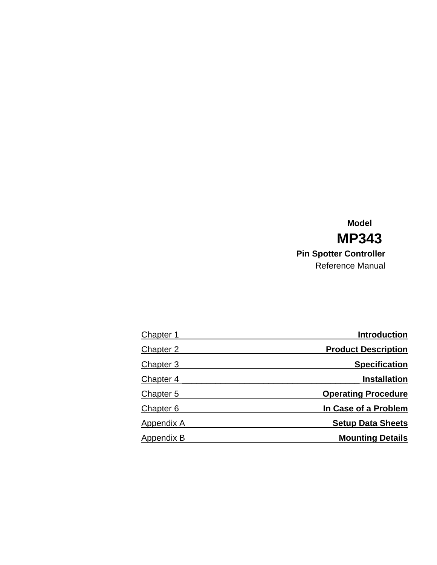### **Model MP343 Pin Spotter Controller** Reference Manual

| Chapter 1        | <b>Introduction</b>        |
|------------------|----------------------------|
| Chapter 2        | <b>Product Description</b> |
| <b>Chapter 3</b> | <b>Specification</b>       |
| Chapter 4        | <b>Installation</b>        |
| Chapter 5        | <b>Operating Procedure</b> |
| Chapter 6        | In Case of a Problem       |
| Appendix A       | <b>Setup Data Sheets</b>   |
| Appendix B       | <b>Mounting Details</b>    |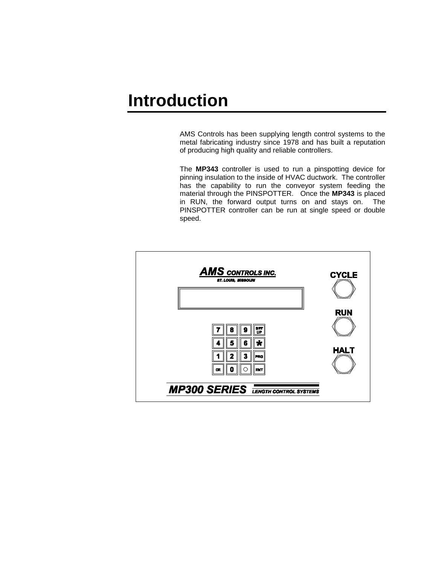# **Introduction**

AMS Controls has been supplying length control systems to the metal fabricating industry since 1978 and has built a reputation of producing high quality and reliable controllers.

The **MP343** controller is used to run a pinspotting device for pinning insulation to the inside of HVAC ductwork. The controller has the capability to run the conveyor system feeding the material through the PINSPOTTER. Once the **MP343** is placed in RUN, the forward output turns on and stays on. The PINSPOTTER controller can be run at single speed or double speed.

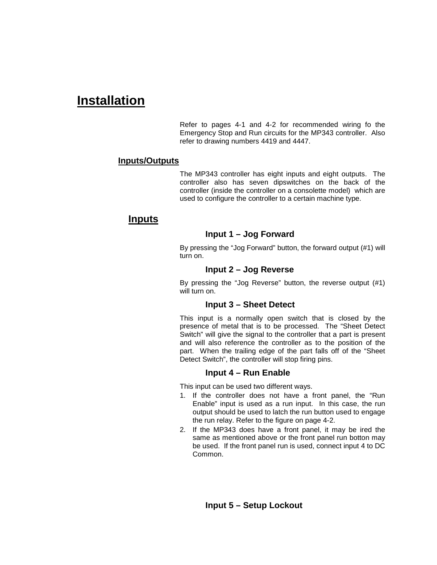### **Installation**

Refer to pages 4-1 and 4-2 for recommended wiring fo the Emergency Stop and Run circuits for the MP343 controller. Also refer to drawing numbers 4419 and 4447.

#### **Inputs/Outputs**

The MP343 controller has eight inputs and eight outputs. The controller also has seven dipswitches on the back of the controller (inside the controller on a consolette model) which are used to configure the controller to a certain machine type.

#### **Inputs**

#### **Input 1 – Jog Forward**

By pressing the "Jog Forward" button, the forward output (#1) will turn on.

#### **Input 2 – Jog Reverse**

By pressing the "Jog Reverse" button, the reverse output (#1) will turn on.

#### **Input 3 – Sheet Detect**

This input is a normally open switch that is closed by the presence of metal that is to be processed. The "Sheet Detect Switch" will give the signal to the controller that a part is present and will also reference the controller as to the position of the part. When the trailing edge of the part falls off of the "Sheet Detect Switch", the controller will stop firing pins.

#### **Input 4 – Run Enable**

This input can be used two different ways.

- 1. If the controller does not have a front panel, the "Run Enable" input is used as a run input. In this case, the run output should be used to latch the run button used to engage the run relay. Refer to the figure on page 4-2.
- 2. If the MP343 does have a front panel, it may be ired the same as mentioned above or the front panel run botton may be used. If the front panel run is used, connect input 4 to DC Common.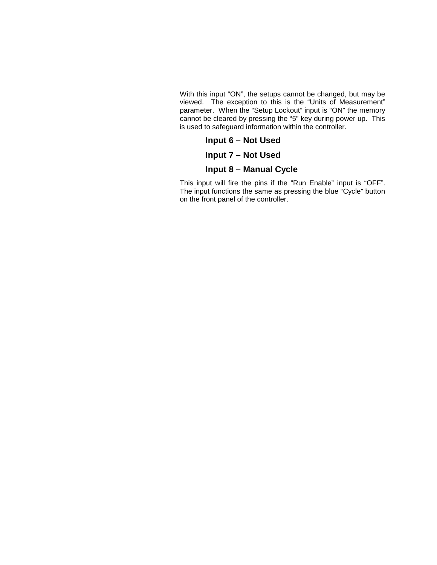With this input "ON", the setups cannot be changed, but may be viewed. The exception to this is the "Units of Measurement" parameter. When the "Setup Lockout" input is "ON" the memory cannot be cleared by pressing the "5" key during power up. This is used to safeguard information within the controller.

**Input 6 – Not Used**

**Input 7 – Not Used**

**Input 8 – Manual Cycle**

This input will fire the pins if the "Run Enable" input is "OFF". The input functions the same as pressing the blue "Cycle" button on the front panel of the controller.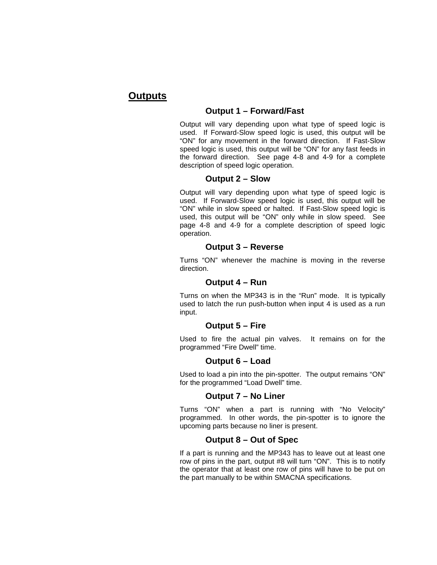#### **Outputs**

#### **Output 1 – Forward/Fast**

Output will vary depending upon what type of speed logic is used. If Forward-Slow speed logic is used, this output will be "ON" for any movement in the forward direction. If Fast-Slow speed logic is used, this output will be "ON" for any fast feeds in the forward direction. See page 4-8 and 4-9 for a complete description of speed logic operation.

#### **Output 2 – Slow**

Output will vary depending upon what type of speed logic is used. If Forward-Slow speed logic is used, this output will be "ON" while in slow speed or halted. If Fast-Slow speed logic is used, this output will be "ON" only while in slow speed. See page 4-8 and 4-9 for a complete description of speed logic operation.

#### **Output 3 – Reverse**

Turns "ON" whenever the machine is moving in the reverse direction.

#### **Output 4 – Run**

Turns on when the MP343 is in the "Run" mode. It is typically used to latch the run push-button when input 4 is used as a run input.

#### **Output 5 – Fire**

Used to fire the actual pin valves. It remains on for the programmed "Fire Dwell" time.

#### **Output 6 – Load**

Used to load a pin into the pin-spotter. The output remains "ON" for the programmed "Load Dwell" time.

#### **Output 7 – No Liner**

Turns "ON" when a part is running with "No Velocity" programmed. In other words, the pin-spotter is to ignore the upcoming parts because no liner is present.

#### **Output 8 – Out of Spec**

If a part is running and the MP343 has to leave out at least one row of pins in the part, output #8 will turn "ON". This is to notify the operator that at least one row of pins will have to be put on the part manually to be within SMACNA specifications.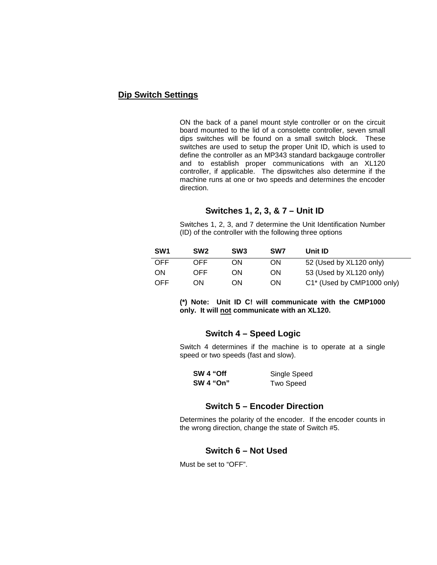#### **Dip Switch Settings**

ON the back of a panel mount style controller or on the circuit board mounted to the lid of a consolette controller, seven small dips switches will be found on a small switch block. These switches are used to setup the proper Unit ID, which is used to define the controller as an MP343 standard backgauge controller and to establish proper communications with an XL120 controller, if applicable. The dipswitches also determine if the machine runs at one or two speeds and determines the encoder direction.

#### **Switches 1, 2, 3, & 7 – Unit ID**

Switches 1, 2, 3, and 7 determine the Unit Identification Number (ID) of the controller with the following three options

| SW <sub>1</sub> | SW <sub>2</sub> | SW <sub>3</sub> | SW <sub>7</sub> | Unit ID                    |
|-----------------|-----------------|-----------------|-----------------|----------------------------|
| OFF.            | OFF.            | OΝ              | ΟN              | 52 (Used by XL120 only)    |
| ON              | OFF.            | OΝ              | OΝ              | 53 (Used by XL120 only)    |
| OFF.            | OΝ              | ОN              | OΝ              | C1* (Used by CMP1000 only) |

**(\*) Note: Unit ID C! will communicate with the CMP1000 only. It will not communicate with an XL120.**

#### **Switch 4 – Speed Logic**

Switch 4 determines if the machine is to operate at a single speed or two speeds (fast and slow).

| SW 4 "Off        | Single Speed     |  |  |
|------------------|------------------|--|--|
| <b>SW 4 "On"</b> | <b>Two Speed</b> |  |  |

#### **Switch 5 – Encoder Direction**

Determines the polarity of the encoder. If the encoder counts in the wrong direction, change the state of Switch #5.

#### **Switch 6 – Not Used**

Must be set to "OFF".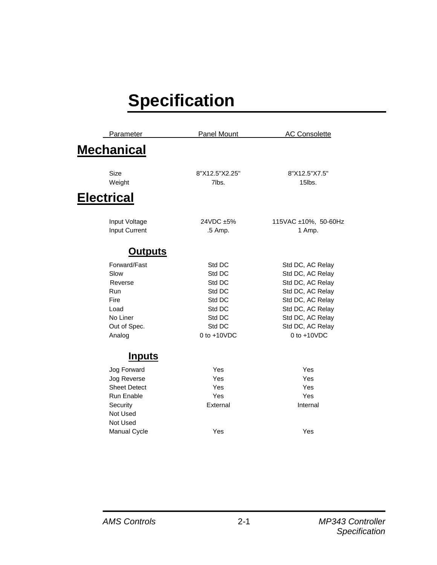# **Specification**

| <b>Mechanical</b><br>Size<br>8"X12.5"X2.25"<br>8"X12.5"X7.5"<br>Weight<br>7lbs.<br>15lbs.<br><b>Electrical</b><br>24VDC ±5%<br>115VAC ±10%, 50-60Hz<br>Input Voltage<br><b>Input Current</b><br>.5 Amp.<br>1 Amp.<br><u>Outputs</u><br>Forward/Fast<br>Std DC<br>Std DC, AC Relay<br>Slow<br>Std DC<br>Std DC, AC Relay<br>Std DC<br>Std DC, AC Relay<br>Reverse<br>Std DC<br>Std DC, AC Relay<br><b>Run</b><br>Fire<br>Std DC, AC Relay<br>Std DC<br>Load<br>Std DC<br>Std DC, AC Relay<br>No Liner<br>Std DC<br>Std DC, AC Relay<br>Std DC<br>Std DC, AC Relay<br>Out of Spec.<br>$0$ to $+10$ VDC<br>$0$ to $+10VDC$<br>Analog<br><u>Inputs</u><br>Yes<br>Yes<br>Jog Forward<br>Yes<br>Yes<br>Jog Reverse<br><b>Sheet Detect</b><br>Yes<br>Yes<br>Run Enable<br>Yes<br>Yes<br>Security<br>External<br>Internal<br>Not Used<br>Not Used | Parameter | Panel Mount | <b>AC Consolette</b> |
|-------------------------------------------------------------------------------------------------------------------------------------------------------------------------------------------------------------------------------------------------------------------------------------------------------------------------------------------------------------------------------------------------------------------------------------------------------------------------------------------------------------------------------------------------------------------------------------------------------------------------------------------------------------------------------------------------------------------------------------------------------------------------------------------------------------------------------------------|-----------|-------------|----------------------|
|                                                                                                                                                                                                                                                                                                                                                                                                                                                                                                                                                                                                                                                                                                                                                                                                                                           |           |             |                      |
|                                                                                                                                                                                                                                                                                                                                                                                                                                                                                                                                                                                                                                                                                                                                                                                                                                           |           |             |                      |
|                                                                                                                                                                                                                                                                                                                                                                                                                                                                                                                                                                                                                                                                                                                                                                                                                                           |           |             |                      |
|                                                                                                                                                                                                                                                                                                                                                                                                                                                                                                                                                                                                                                                                                                                                                                                                                                           |           |             |                      |
|                                                                                                                                                                                                                                                                                                                                                                                                                                                                                                                                                                                                                                                                                                                                                                                                                                           |           |             |                      |
|                                                                                                                                                                                                                                                                                                                                                                                                                                                                                                                                                                                                                                                                                                                                                                                                                                           |           |             |                      |
|                                                                                                                                                                                                                                                                                                                                                                                                                                                                                                                                                                                                                                                                                                                                                                                                                                           |           |             |                      |
|                                                                                                                                                                                                                                                                                                                                                                                                                                                                                                                                                                                                                                                                                                                                                                                                                                           |           |             |                      |
|                                                                                                                                                                                                                                                                                                                                                                                                                                                                                                                                                                                                                                                                                                                                                                                                                                           |           |             |                      |
|                                                                                                                                                                                                                                                                                                                                                                                                                                                                                                                                                                                                                                                                                                                                                                                                                                           |           |             |                      |
|                                                                                                                                                                                                                                                                                                                                                                                                                                                                                                                                                                                                                                                                                                                                                                                                                                           |           |             |                      |
|                                                                                                                                                                                                                                                                                                                                                                                                                                                                                                                                                                                                                                                                                                                                                                                                                                           |           |             |                      |
|                                                                                                                                                                                                                                                                                                                                                                                                                                                                                                                                                                                                                                                                                                                                                                                                                                           |           |             |                      |
|                                                                                                                                                                                                                                                                                                                                                                                                                                                                                                                                                                                                                                                                                                                                                                                                                                           |           |             |                      |
|                                                                                                                                                                                                                                                                                                                                                                                                                                                                                                                                                                                                                                                                                                                                                                                                                                           |           |             |                      |
|                                                                                                                                                                                                                                                                                                                                                                                                                                                                                                                                                                                                                                                                                                                                                                                                                                           |           |             |                      |
|                                                                                                                                                                                                                                                                                                                                                                                                                                                                                                                                                                                                                                                                                                                                                                                                                                           |           |             |                      |
|                                                                                                                                                                                                                                                                                                                                                                                                                                                                                                                                                                                                                                                                                                                                                                                                                                           |           |             |                      |
|                                                                                                                                                                                                                                                                                                                                                                                                                                                                                                                                                                                                                                                                                                                                                                                                                                           |           |             |                      |
|                                                                                                                                                                                                                                                                                                                                                                                                                                                                                                                                                                                                                                                                                                                                                                                                                                           |           |             |                      |
|                                                                                                                                                                                                                                                                                                                                                                                                                                                                                                                                                                                                                                                                                                                                                                                                                                           |           |             |                      |
|                                                                                                                                                                                                                                                                                                                                                                                                                                                                                                                                                                                                                                                                                                                                                                                                                                           |           |             |                      |
|                                                                                                                                                                                                                                                                                                                                                                                                                                                                                                                                                                                                                                                                                                                                                                                                                                           |           |             |                      |
|                                                                                                                                                                                                                                                                                                                                                                                                                                                                                                                                                                                                                                                                                                                                                                                                                                           |           |             |                      |
| Manual Cycle<br>Yes<br>Yes                                                                                                                                                                                                                                                                                                                                                                                                                                                                                                                                                                                                                                                                                                                                                                                                                |           |             |                      |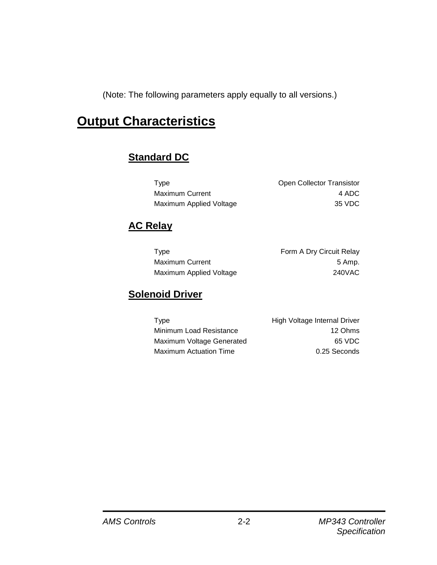(Note: The following parameters apply equally to all versions.)

# **Output Characteristics**

### **Standard DC**

| <b>Type</b>             | <b>Open Collector Transistor</b> |
|-------------------------|----------------------------------|
| <b>Maximum Current</b>  | 4 ADC                            |
| Maximum Applied Voltage | 35 VDC                           |

### **AC Relay**

| Type                    | Form A Dry Circuit Relay |
|-------------------------|--------------------------|
| <b>Maximum Current</b>  | 5 Amp.                   |
| Maximum Applied Voltage | <b>240VAC</b>            |

### **Solenoid Driver**

| Type                      | High Voltage Internal Driver |
|---------------------------|------------------------------|
| Minimum Load Resistance   | 12 Ohms                      |
| Maximum Voltage Generated | 65 VDC                       |
| Maximum Actuation Time    | 0.25 Seconds                 |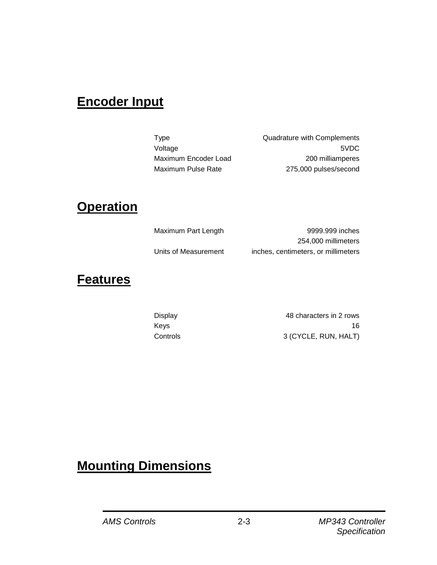# **Encoder Input**

Type Quadrature with Complements Voltage 5VDC Maximum Encoder Load 200 milliamperes Maximum Pulse Rate 275,000 pulses/second

## **Operation**

| Maximum Part Length  | 9999.999 inches                     |
|----------------------|-------------------------------------|
|                      | 254,000 millimeters                 |
| Units of Measurement | inches, centimeters, or millimeters |

### **Features**

Display 48 characters in 2 rows Keys 16 Controls 3 (CYCLE, RUN, HALT)

# **Mounting Dimensions**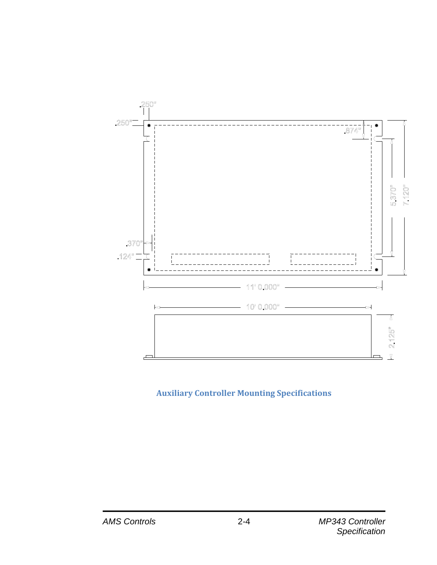

### **Auxiliary Controller Mounting Specifications**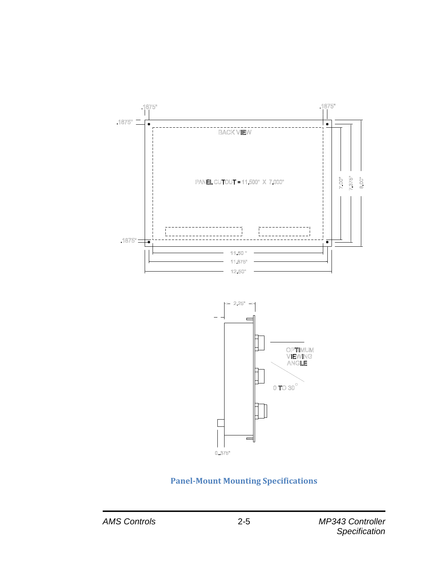



### **Panel-Mount Mounting Specifications**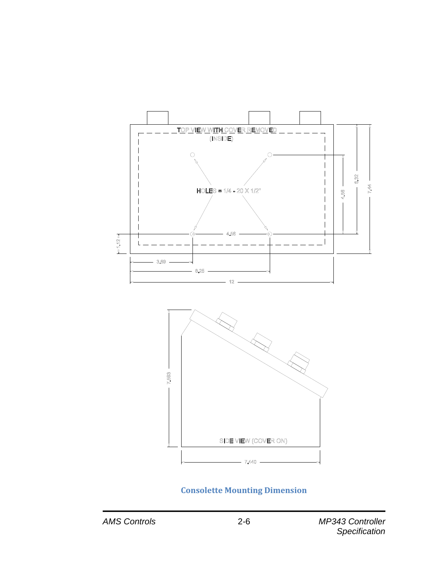

### **Consolette Mounting Dimension**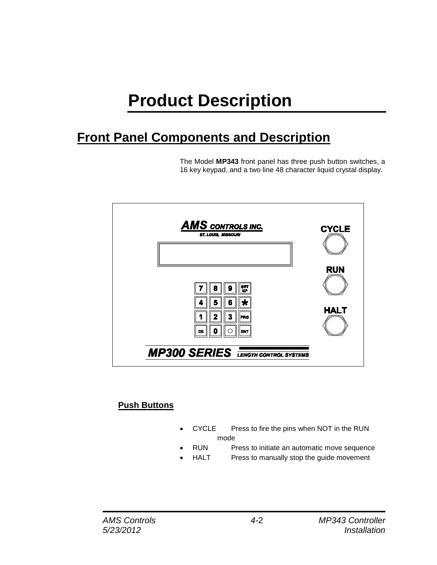# **Product Description**

# **Front Panel Components and Description**

The Model **MP343** front panel has three push button switches, a 16 key keypad, and a two line 48 character liquid crystal display.



### **Push Buttons**

- CYCLE Press to fire the pins when NOT in the RUN mode
- RUN Press to initiate an automatic move sequence
	- HALT Press to manually stop the guide movement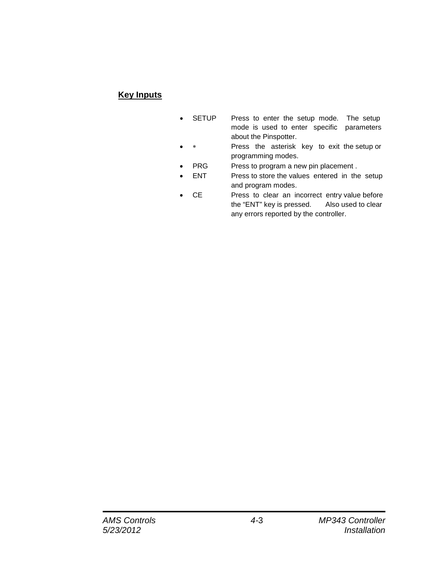### **Key Inputs**

- SETUP Press to enter the setup mode. The setup mode is used to enter specific parameters about the Pinspotter.
- Press the asterisk key to exit the setup or programming modes.
- PRG Press to program a new pin placement.
- ENT Press to store the values entered in the setup and program modes.
- CE Press to clear an incorrect entry value before the "ENT" key is pressed. Also used to clear any errors reported by the controller.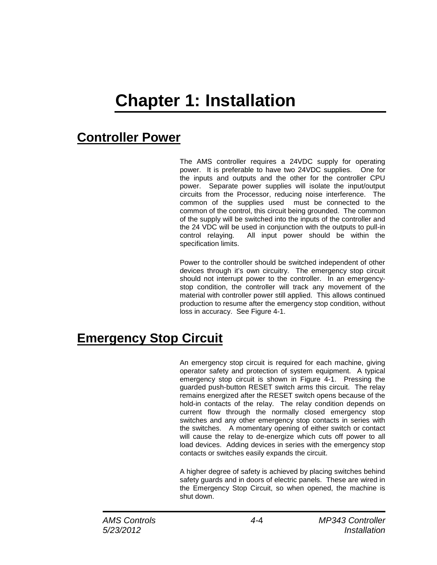# **Chapter 1: Installation**

# **Controller Power**

The AMS controller requires a 24VDC supply for operating power. It is preferable to have two 24VDC supplies. One for the inputs and outputs and the other for the controller CPU power. Separate power supplies will isolate the input/output circuits from the Processor, reducing noise interference. The common of the supplies used must be connected to the common of the control, this circuit being grounded. The common of the supply will be switched into the inputs of the controller and the 24 VDC will be used in conjunction with the outputs to pull-in control relaying. All input power should be within the specification limits.

Power to the controller should be switched independent of other devices through it's own circuitry. The emergency stop circuit should not interrupt power to the controller. In an emergencystop condition, the controller will track any movement of the material with controller power still applied. This allows continued production to resume after the emergency stop condition, without loss in accuracy. See Figure 4-1.

# **Emergency Stop Circuit**

An emergency stop circuit is required for each machine, giving operator safety and protection of system equipment. A typical emergency stop circuit is shown in Figure 4-1. Pressing the guarded push-button RESET switch arms this circuit. The relay remains energized after the RESET switch opens because of the hold-in contacts of the relay. The relay condition depends on current flow through the normally closed emergency stop switches and any other emergency stop contacts in series with the switches. A momentary opening of either switch or contact will cause the relay to de-energize which cuts off power to all load devices. Adding devices in series with the emergency stop contacts or switches easily expands the circuit.

A higher degree of safety is achieved by placing switches behind safety guards and in doors of electric panels. These are wired in the Emergency Stop Circuit, so when opened, the machine is shut down.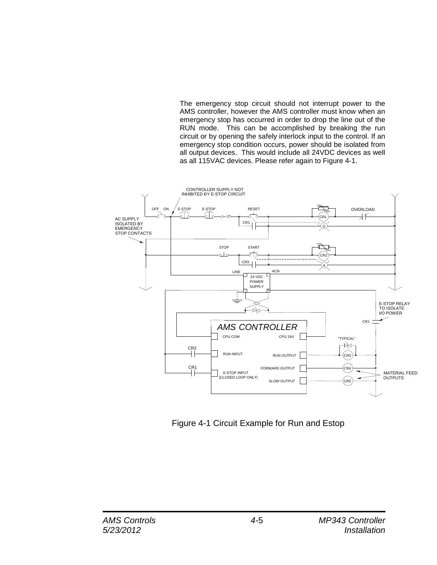The emergency stop circuit should not interrupt power to the AMS controller, however the AMS controller must know when an emergency stop has occurred in order to drop the line out of the RUN mode. This can be accomplished by breaking the run circuit or by opening the safely interlock input to the control. If an emergency stop condition occurs, power should be isolated from all output devices. This would include all 24VDC devices as well as all 115VAC devices. Please refer again to Figure 4-1.



Figure 4-1 Circuit Example for Run and Estop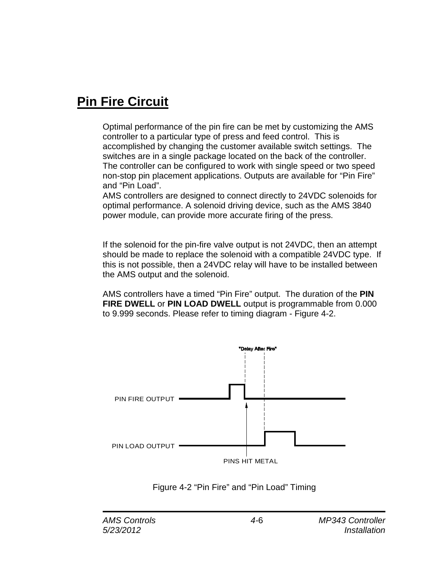# **Pin Fire Circuit**

Optimal performance of the pin fire can be met by customizing the AMS controller to a particular type of press and feed control. This is accomplished by changing the customer available switch settings. The switches are in a single package located on the back of the controller. The controller can be configured to work with single speed or two speed non-stop pin placement applications. Outputs are available for "Pin Fire" and "Pin Load".

AMS controllers are designed to connect directly to 24VDC solenoids for optimal performance. A solenoid driving device, such as the AMS 3840 power module, can provide more accurate firing of the press.

If the solenoid for the pin-fire valve output is not 24VDC, then an attempt should be made to replace the solenoid with a compatible 24VDC type. If this is not possible, then a 24VDC relay will have to be installed between the AMS output and the solenoid.

AMS controllers have a timed "Pin Fire" output. The duration of the **PIN FIRE DWELL** or **PIN LOAD DWELL** output is programmable from 0.000 to 9.999 seconds. Please refer to timing diagram - Figure 4-2.



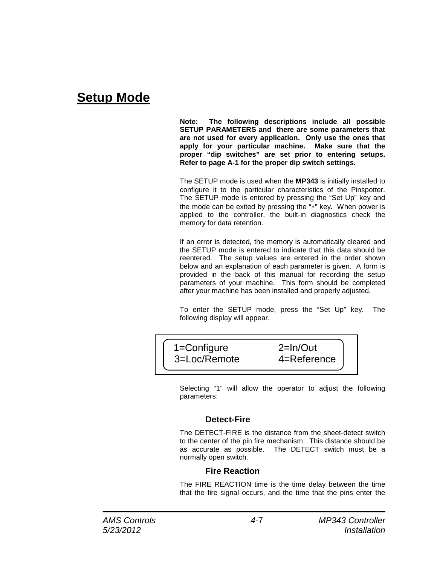## **Setup Mode**

**Note: The following descriptions include all possible SETUP PARAMETERS and there are some parameters that are not used for every application. Only use the ones that apply for your particular machine. Make sure that the proper "dip switches" are set prior to entering setups. Refer to page A-1 for the proper dip switch settings.**

The SETUP mode is used when the **MP343** is initially installed to configure it to the particular characteristics of the Pinspotter. The SETUP mode is entered by pressing the "Set Up" key and the mode can be exited by pressing the "∗" key. When power is applied to the controller, the built-in diagnostics check the memory for data retention.

If an error is detected, the memory is automatically cleared and the SETUP mode is entered to indicate that this data should be reentered. The setup values are entered in the order shown below and an explanation of each parameter is given. A form is provided in the back of this manual for recording the setup parameters of your machine. This form should be completed after your machine has been installed and properly adjusted.

To enter the SETUP mode, press the "Set Up" key. The following display will appear.



Selecting "1" will allow the operator to adjust the following parameters:

#### **Detect-Fire**

The DETECT-FIRE is the distance from the sheet-detect switch to the center of the pin fire mechanism. This distance should be as accurate as possible. The DETECT switch must be a normally open switch.

#### **Fire Reaction**

The FIRE REACTION time is the time delay between the time that the fire signal occurs, and the time that the pins enter the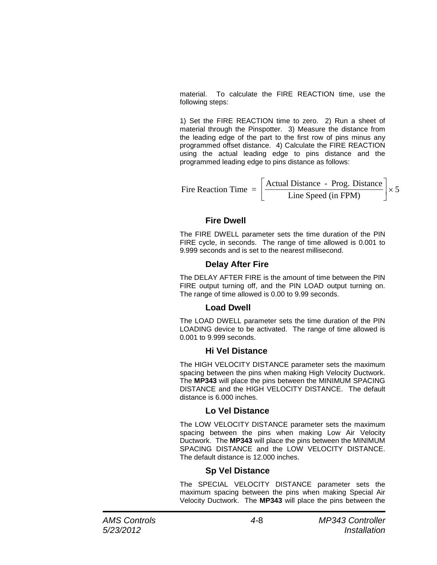material. To calculate the FIRE REACTION time, use the following steps:

1) Set the FIRE REACTION time to zero. 2) Run a sheet of material through the Pinspotter. 3) Measure the distance from the leading edge of the part to the first row of pins minus any programmed offset distance. 4) Calculate the FIRE REACTION using the actual leading edge to pins distance and the programmed leading edge to pins distance as follows:

Fire Reaction Time = 
$$
\left[\frac{\text{Actual Distance - Prog. Distance}}{\text{Line Speed (in FPM)}}\right] \times 5
$$

#### **Fire Dwell**

The FIRE DWELL parameter sets the time duration of the PIN FIRE cycle, in seconds. The range of time allowed is 0.001 to 9.999 seconds and is set to the nearest millisecond.

#### **Delay After Fire**

The DELAY AFTER FIRE is the amount of time between the PIN FIRE output turning off, and the PIN LOAD output turning on. The range of time allowed is 0.00 to 9.99 seconds.

#### **Load Dwell**

The LOAD DWELL parameter sets the time duration of the PIN LOADING device to be activated. The range of time allowed is 0.001 to 9.999 seconds.

#### **Hi Vel Distance**

The HIGH VELOCITY DISTANCE parameter sets the maximum spacing between the pins when making High Velocity Ductwork. The **MP343** will place the pins between the MINIMUM SPACING DISTANCE and the HIGH VELOCITY DISTANCE. The default distance is 6.000 inches.

#### **Lo Vel Distance**

The LOW VELOCITY DISTANCE parameter sets the maximum spacing between the pins when making Low Air Velocity Ductwork. The **MP343** will place the pins between the MINIMUM SPACING DISTANCE and the LOW VELOCITY DISTANCE. The default distance is 12.000 inches.

#### **Sp Vel Distance**

The SPECIAL VELOCITY DISTANCE parameter sets the maximum spacing between the pins when making Special Air Velocity Ductwork. The **MP343** will place the pins between the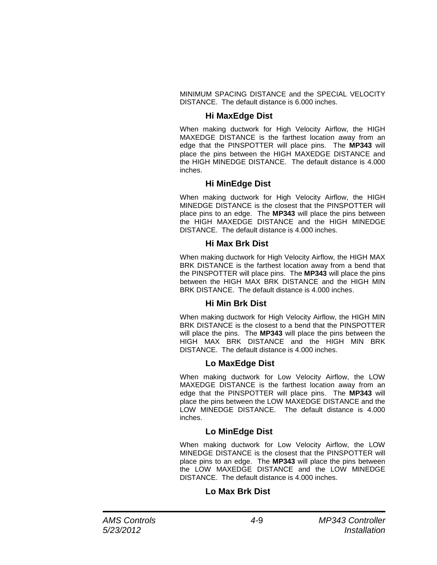MINIMUM SPACING DISTANCE and the SPECIAL VELOCITY DISTANCE. The default distance is 6.000 inches.

#### **Hi MaxEdge Dist**

When making ductwork for High Velocity Airflow, the HIGH MAXEDGE DISTANCE is the farthest location away from an edge that the PINSPOTTER will place pins. The **MP343** will place the pins between the HIGH MAXEDGE DISTANCE and the HIGH MINEDGE DISTANCE. The default distance is 4.000 inches.

#### **Hi MinEdge Dist**

When making ductwork for High Velocity Airflow, the HIGH MINEDGE DISTANCE is the closest that the PINSPOTTER will place pins to an edge. The **MP343** will place the pins between the HIGH MAXEDGE DISTANCE and the HIGH MINEDGE DISTANCE. The default distance is 4.000 inches.

#### **Hi Max Brk Dist**

When making ductwork for High Velocity Airflow, the HIGH MAX BRK DISTANCE is the farthest location away from a bend that the PINSPOTTER will place pins. The **MP343** will place the pins between the HIGH MAX BRK DISTANCE and the HIGH MIN BRK DISTANCE. The default distance is 4.000 inches.

#### **Hi Min Brk Dist**

When making ductwork for High Velocity Airflow, the HIGH MIN BRK DISTANCE is the closest to a bend that the PINSPOTTER will place the pins. The **MP343** will place the pins between the HIGH MAX BRK DISTANCE and the HIGH MIN BRK DISTANCE. The default distance is 4.000 inches.

#### **Lo MaxEdge Dist**

When making ductwork for Low Velocity Airflow, the LOW MAXEDGE DISTANCE is the farthest location away from an edge that the PINSPOTTER will place pins. The **MP343** will place the pins between the LOW MAXEDGE DISTANCE and the LOW MINEDGE DISTANCE. The default distance is 4.000 inches.

#### **Lo MinEdge Dist**

When making ductwork for Low Velocity Airflow, the LOW MINEDGE DISTANCE is the closest that the PINSPOTTER will place pins to an edge. The **MP343** will place the pins between the LOW MAXEDGE DISTANCE and the LOW MINEDGE DISTANCE. The default distance is 4.000 inches.

#### **Lo Max Brk Dist**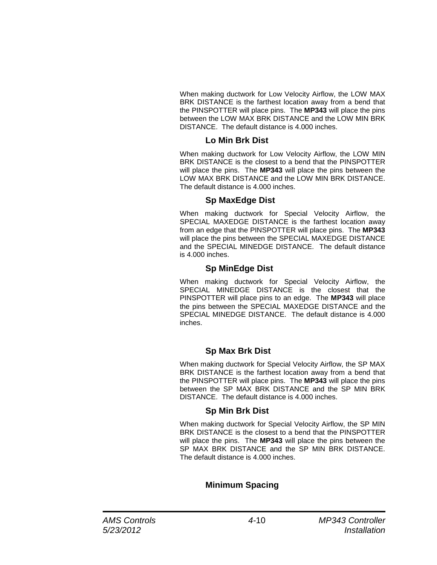When making ductwork for Low Velocity Airflow, the LOW MAX BRK DISTANCE is the farthest location away from a bend that the PINSPOTTER will place pins. The **MP343** will place the pins between the LOW MAX BRK DISTANCE and the LOW MIN BRK DISTANCE. The default distance is 4.000 inches.

#### **Lo Min Brk Dist**

When making ductwork for Low Velocity Airflow, the LOW MIN BRK DISTANCE is the closest to a bend that the PINSPOTTER will place the pins. The **MP343** will place the pins between the LOW MAX BRK DISTANCE and the LOW MIN BRK DISTANCE. The default distance is 4.000 inches.

#### **Sp MaxEdge Dist**

When making ductwork for Special Velocity Airflow, the SPECIAL MAXEDGE DISTANCE is the farthest location away from an edge that the PINSPOTTER will place pins. The **MP343**  will place the pins between the SPECIAL MAXEDGE DISTANCE and the SPECIAL MINEDGE DISTANCE. The default distance is 4.000 inches.

#### **Sp MinEdge Dist**

When making ductwork for Special Velocity Airflow, the SPECIAL MINEDGE DISTANCE is the closest that the PINSPOTTER will place pins to an edge. The **MP343** will place the pins between the SPECIAL MAXEDGE DISTANCE and the SPECIAL MINEDGE DISTANCE. The default distance is 4.000 inches.

#### **Sp Max Brk Dist**

When making ductwork for Special Velocity Airflow, the SP MAX BRK DISTANCE is the farthest location away from a bend that the PINSPOTTER will place pins. The **MP343** will place the pins between the SP MAX BRK DISTANCE and the SP MIN BRK DISTANCE. The default distance is 4.000 inches.

#### **Sp Min Brk Dist**

When making ductwork for Special Velocity Airflow, the SP MIN BRK DISTANCE is the closest to a bend that the PINSPOTTER will place the pins. The **MP343** will place the pins between the SP MAX BRK DISTANCE and the SP MIN BRK DISTANCE. The default distance is 4.000 inches.

#### **Minimum Spacing**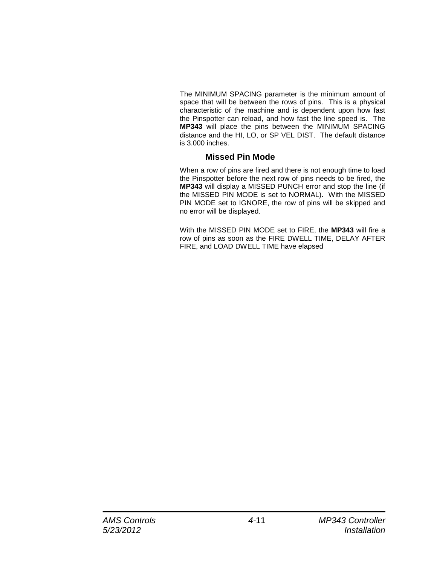The MINIMUM SPACING parameter is the minimum amount of space that will be between the rows of pins. This is a physical characteristic of the machine and is dependent upon how fast the Pinspotter can reload, and how fast the line speed is. The **MP343** will place the pins between the MINIMUM SPACING distance and the HI, LO, or SP VEL DIST. The default distance is 3.000 inches.

#### **Missed Pin Mode**

When a row of pins are fired and there is not enough time to load the Pinspotter before the next row of pins needs to be fired, the **MP343** will display a MISSED PUNCH error and stop the line (if the MISSED PIN MODE is set to NORMAL). With the MISSED PIN MODE set to IGNORE, the row of pins will be skipped and no error will be displayed.

With the MISSED PIN MODE set to FIRE, the **MP343** will fire a row of pins as soon as the FIRE DWELL TIME, DELAY AFTER FIRE, and LOAD DWELL TIME have elapsed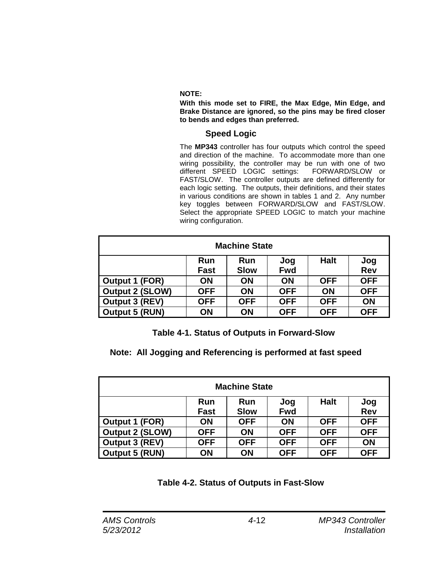#### **NOTE:**

**With this mode set to FIRE, the Max Edge, Min Edge, and Brake Distance are ignored, so the pins may be fired closer to bends and edges than preferred.**

#### **Speed Logic**

The **MP343** controller has four outputs which control the speed and direction of the machine. To accommodate more than one wiring possibility, the controller may be run with one of two different SPEED LOGIC settings: FORWARD/SLOW or FAST/SLOW. The controller outputs are defined differently for each logic setting. The outputs, their definitions, and their states in various conditions are shown in tables 1 and 2. Any number key toggles between FORWARD/SLOW and FAST/SLOW. Select the appropriate SPEED LOGIC to match your machine wiring configuration.

| <b>Machine State</b>   |             |             |            |             |            |
|------------------------|-------------|-------------|------------|-------------|------------|
|                        | <b>Run</b>  | Run         | Jog        | <b>Halt</b> | Jog        |
|                        | <b>Fast</b> | <b>Slow</b> | <b>Fwd</b> |             | <b>Rev</b> |
| Output 1 (FOR)         | ON          | ON          | <b>ON</b>  | <b>OFF</b>  | <b>OFF</b> |
| <b>Output 2 (SLOW)</b> | <b>OFF</b>  | <b>ON</b>   | <b>OFF</b> | <b>ON</b>   | <b>OFF</b> |
| Output 3 (REV)         | <b>OFF</b>  | <b>OFF</b>  | <b>OFF</b> | <b>OFF</b>  | ON         |
| <b>Output 5 (RUN)</b>  | ON          | ON          | <b>OFF</b> | <b>OFF</b>  | <b>OFF</b> |

 **Table 4-1. Status of Outputs in Forward-Slow**

 **Note: All Jogging and Referencing is performed at fast speed**

| <b>Machine State</b>   |             |             |            |             |            |
|------------------------|-------------|-------------|------------|-------------|------------|
|                        | <b>Run</b>  | Run         | Jog        | <b>Halt</b> | Jog        |
|                        | <b>Fast</b> | <b>Slow</b> | <b>Fwd</b> |             | <b>Rev</b> |
| Output 1 (FOR)         | ON          | <b>OFF</b>  | ON         | <b>OFF</b>  | <b>OFF</b> |
| <b>Output 2 (SLOW)</b> | <b>OFF</b>  | <b>ON</b>   | <b>OFF</b> | <b>OFF</b>  | <b>OFF</b> |
| <b>Output 3 (REV)</b>  | <b>OFF</b>  | <b>OFF</b>  | <b>OFF</b> | <b>OFF</b>  | ON         |
| <b>Output 5 (RUN)</b>  | ON          | ON          | <b>OFF</b> | <b>OFF</b>  | <b>OFF</b> |

 **Table 4-2. Status of Outputs in Fast-Slow**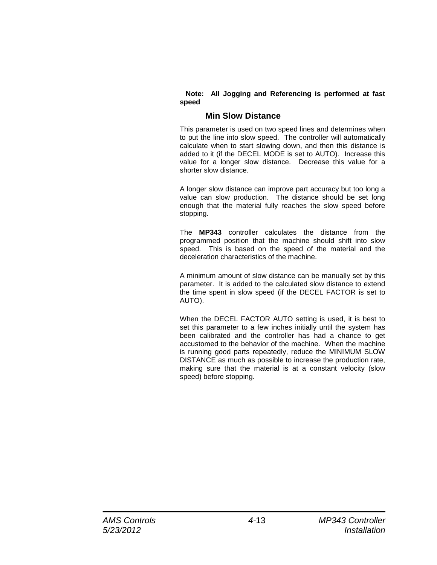#### **Note: All Jogging and Referencing is performed at fast speed**

#### **Min Slow Distance**

This parameter is used on two speed lines and determines when to put the line into slow speed. The controller will automatically calculate when to start slowing down, and then this distance is added to it (if the DECEL MODE is set to AUTO). Increase this value for a longer slow distance. Decrease this value for a shorter slow distance.

A longer slow distance can improve part accuracy but too long a value can slow production. The distance should be set long enough that the material fully reaches the slow speed before stopping.

The **MP343** controller calculates the distance from the programmed position that the machine should shift into slow speed. This is based on the speed of the material and the deceleration characteristics of the machine.

A minimum amount of slow distance can be manually set by this parameter. It is added to the calculated slow distance to extend the time spent in slow speed (if the DECEL FACTOR is set to AUTO).

When the DECEL FACTOR AUTO setting is used, it is best to set this parameter to a few inches initially until the system has been calibrated and the controller has had a chance to get accustomed to the behavior of the machine. When the machine is running good parts repeatedly, reduce the MINIMUM SLOW DISTANCE as much as possible to increase the production rate, making sure that the material is at a constant velocity (slow speed) before stopping.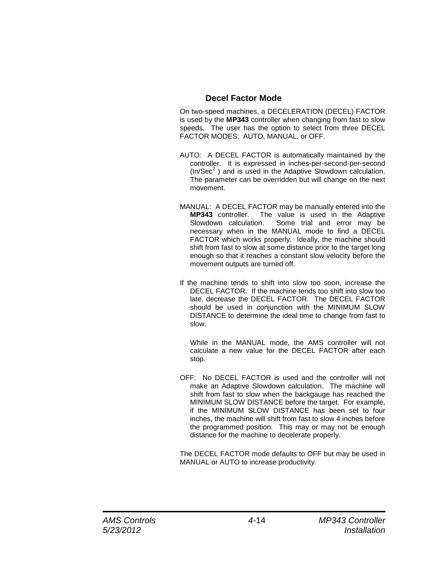#### **Decel Factor Mode**

On two-speed machines, a DECELERATION (DECEL) FACTOR is used by the **MP343** controller when changing from fast to slow speeds. The user has the option to select from three DECEL FACTOR MODES: AUTO, MANUAL, or OFF.

- AUTO: A DECEL FACTOR is automatically maintained by the controller. It is expressed in inches-per-second-per-second  $(ln/Sec<sup>2</sup>)$  and is used in the Adaptive Slowdown calculation. The parameter can be overridden but will change on the next movement.
- MANUAL: A DECEL FACTOR may be manually entered into the **MP343** controller. The value is used in the Adaptive Some trial and error may be necessary when in the MANUAL mode to find a DECEL FACTOR which works properly. Ideally, the machine should shift from fast to slow at some distance prior to the target long enough so that it reaches a constant slow velocity before the movement outputs are turned off.
- If the machine tends to shift into slow too soon, increase the DECEL FACTOR. If the machine tends too shift into slow too late, decrease the DECEL FACTOR. The DECEL FACTOR should be used in conjunction with the MINIMUM SLOW DISTANCE to determine the ideal time to change from fast to slow.

While in the MANUAL mode, the AMS controller will not calculate a new value for the DECEL FACTOR after each stop.

OFF: No DECEL FACTOR is used and the controller will not make an Adaptive Slowdown calculation. The machine will shift from fast to slow when the backgauge has reached the MINIMUM SLOW DISTANCE before the target. For example, if the MINIMUM SLOW DISTANCE has been set to four inches, the machine will shift from fast to slow 4 inches before the programmed position. This may or may not be enough distance for the machine to decelerate properly.

The DECEL FACTOR mode defaults to OFF but may be used in MANUAL or AUTO to increase productivity.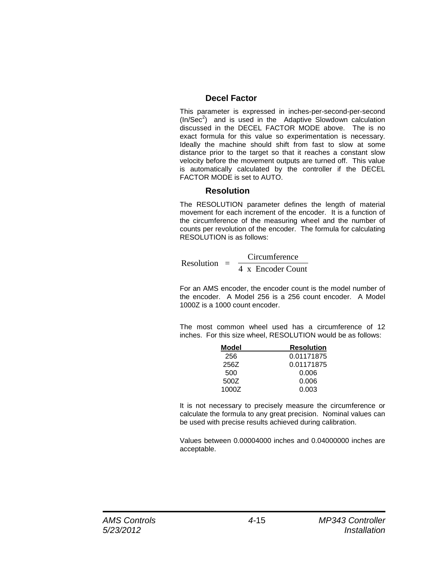#### **Decel Factor**

This parameter is expressed in inches-per-second-per-second  $(ln/Sec<sup>2</sup>)$  and is used in the Adaptive Slowdown calculation discussed in the DECEL FACTOR MODE above. The is no exact formula for this value so experimentation is necessary. Ideally the machine should shift from fast to slow at some distance prior to the target so that it reaches a constant slow velocity before the movement outputs are turned off. This value is automatically calculated by the controller if the DECEL FACTOR MODE is set to AUTO.

#### **Resolution**

The RESOLUTION parameter defines the length of material movement for each increment of the encoder. It is a function of the circumference of the measuring wheel and the number of counts per revolution of the encoder. The formula for calculating RESOLUTION is as follows:

 $Resolution = \frac{Circumference}{4 \cdot F}$ 4 x Encoder Count

For an AMS encoder, the encoder count is the model number of the encoder. A Model 256 is a 256 count encoder. A Model 1000Z is a 1000 count encoder.

The most common wheel used has a circumference of 12 inches. For this size wheel, RESOLUTION would be as follows:

| Model | <b>Resolution</b> |
|-------|-------------------|
| 256   | 0.01171875        |
| 256Z  | 0.01171875        |
| 500   | 0.006             |
| 500Z  | 0.006             |
| 1000Z | 0.003             |

It is not necessary to precisely measure the circumference or calculate the formula to any great precision. Nominal values can be used with precise results achieved during calibration.

Values between 0.00004000 inches and 0.04000000 inches are acceptable.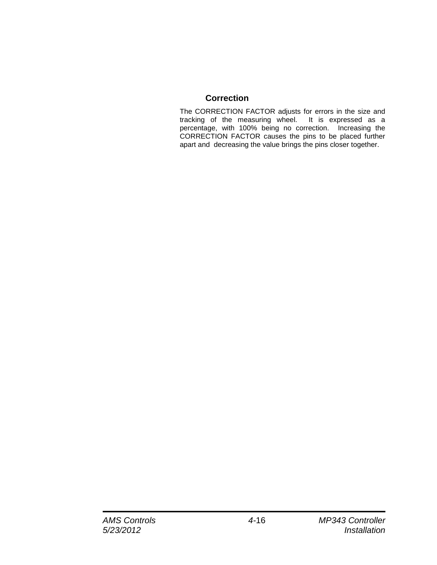#### **Correction**

The CORRECTION FACTOR adjusts for errors in the size and tracking of the measuring wheel. It is expressed as a percentage, with 100% being no correction. Increasing the CORRECTION FACTOR causes the pins to be placed further apart and decreasing the value brings the pins closer together.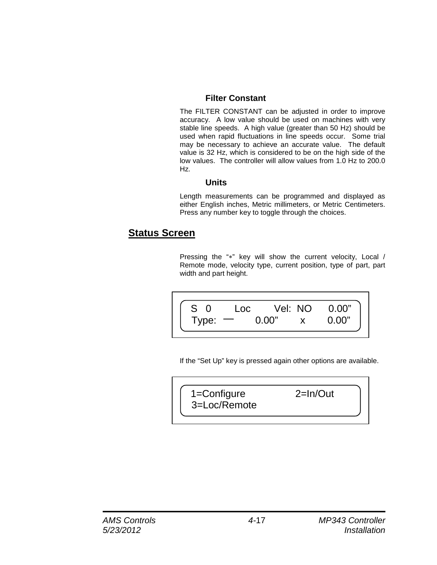#### **Filter Constant**

The FILTER CONSTANT can be adjusted in order to improve accuracy. A low value should be used on machines with very stable line speeds. A high value (greater than 50 Hz) should be used when rapid fluctuations in line speeds occur. Some trial may be necessary to achieve an accurate value. The default value is 32 Hz, which is considered to be on the high side of the low values. The controller will allow values from 1.0 Hz to 200.0 Hz.

#### **Units**

Length measurements can be programmed and displayed as either English inches, Metric millimeters, or Metric Centimeters. Press any number key to toggle through the choices.

### **Status Screen**

Pressing the "\*" key will show the current velocity, Local / Remote mode, velocity type, current position, type of part, part width and part height.

| $S \Omega$ | Loc.                     | Vel: NO      | 0.00" |
|------------|--------------------------|--------------|-------|
| Type:      | $\overline{\phantom{a}}$ | <u>ი იი"</u> | 0.00" |
|            |                          |              |       |

If the "Set Up" key is pressed again other options are available.

 1=Configure 2=In/Out 3=Loc/Remote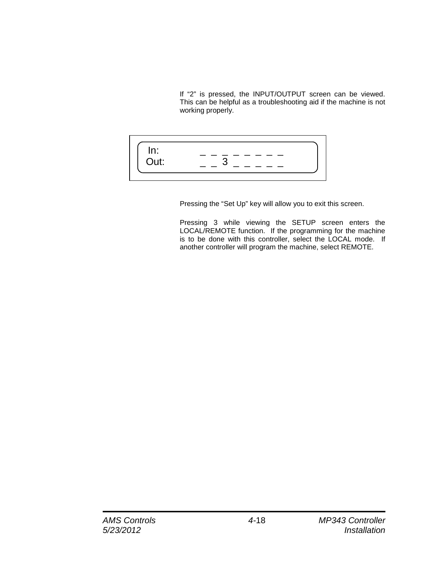If "2" is pressed, the INPUT/OUTPUT screen can be viewed. This can be helpful as a troubleshooting aid if the machine is not working properly.



Pressing the "Set Up" key will allow you to exit this screen.

Pressing 3 while viewing the SETUP screen enters the LOCAL/REMOTE function. If the programming for the machine is to be done with this controller, select the LOCAL mode. If another controller will program the machine, select REMOTE.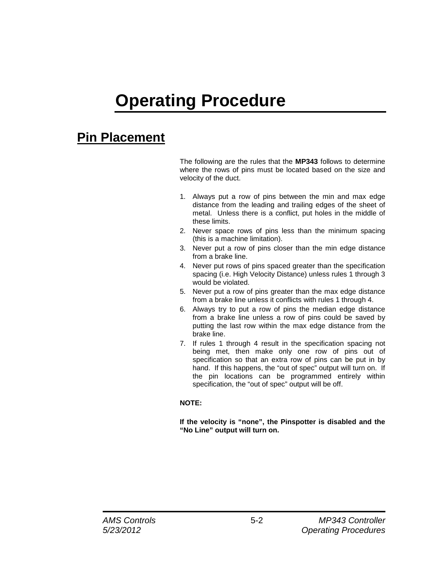# **Operating Procedure**

# **Pin Placement**

The following are the rules that the **MP343** follows to determine where the rows of pins must be located based on the size and velocity of the duct.

- 1. Always put a row of pins between the min and max edge distance from the leading and trailing edges of the sheet of metal. Unless there is a conflict, put holes in the middle of these limits.
- 2. Never space rows of pins less than the minimum spacing (this is a machine limitation).
- 3. Never put a row of pins closer than the min edge distance from a brake line.
- 4. Never put rows of pins spaced greater than the specification spacing (i.e. High Velocity Distance) unless rules 1 through 3 would be violated.
- 5. Never put a row of pins greater than the max edge distance from a brake line unless it conflicts with rules 1 through 4.
- 6. Always try to put a row of pins the median edge distance from a brake line unless a row of pins could be saved by putting the last row within the max edge distance from the brake line.
- 7. If rules 1 through 4 result in the specification spacing not being met, then make only one row of pins out of specification so that an extra row of pins can be put in by hand. If this happens, the "out of spec" output will turn on. If the pin locations can be programmed entirely within specification, the "out of spec" output will be off.

#### **NOTE:**

**If the velocity is "none", the Pinspotter is disabled and the "No Line" output will turn on.**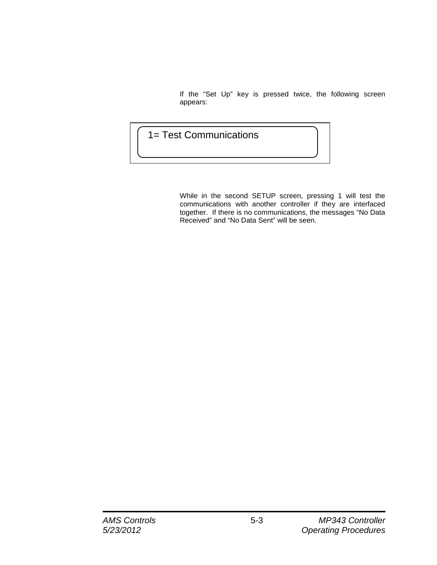If the "Set Up" key is pressed twice, the following screen appears:

### 1= Test Communications

While in the second SETUP screen, pressing 1 will test the communications with another controller if they are interfaced together. If there is no communications, the messages "No Data Received" and "No Data Sent" will be seen.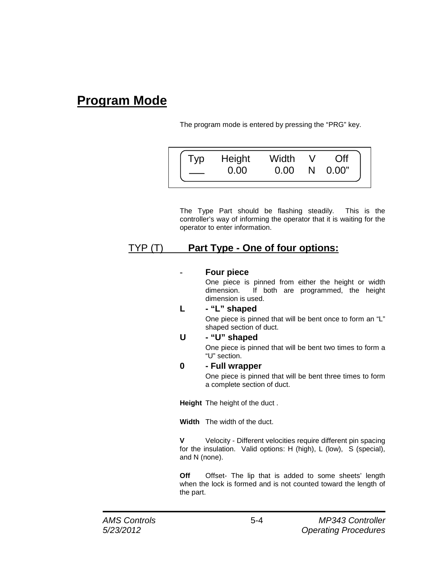# **Program Mode**

The program mode is entered by pressing the "PRG" key.

| Height | Width<br>ስ ስስ | N | 0.00" |
|--------|---------------|---|-------|
|        |               |   |       |

The Type Part should be flashing steadily. This is the controller's way of informing the operator that it is waiting for the operator to enter information.

### TYP (T) **Part Type - One of four options:**

#### **- Four piece**

One piece is pinned from either the height or width dimension. If both are programmed, the height If both are programmed, the height dimension is used.

#### **L - "L" shaped**

One piece is pinned that will be bent once to form an "L" shaped section of duct.

#### **U - "U" shaped**

One piece is pinned that will be bent two times to form a "U" section.

#### **0 - Full wrapper**

One piece is pinned that will be bent three times to form a complete section of duct.

**Height** The height of the duct .

**Width** The width of the duct.

**V** Velocity - Different velocities require different pin spacing for the insulation. Valid options: H (high), L (low), S (special), and N (none).

**Off** Offset- The lip that is added to some sheets' length when the lock is formed and is not counted toward the length of the part.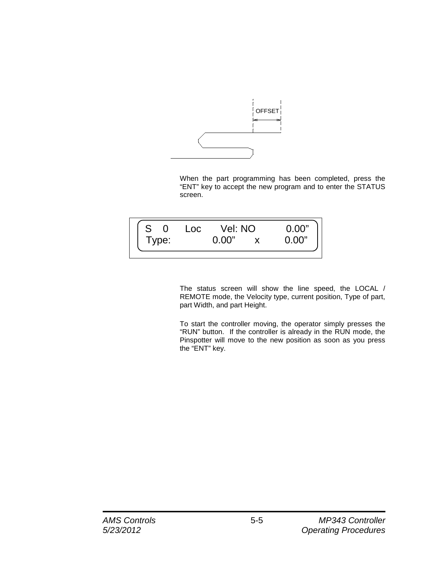

When the part programming has been completed, press the "ENT" key to accept the new program and to enter the STATUS screen.



The status screen will show the line speed, the LOCAL / REMOTE mode, the Velocity type, current position, Type of part, part Width, and part Height.

To start the controller moving, the operator simply presses the "RUN" button. If the controller is already in the RUN mode, the Pinspotter will move to the new position as soon as you press the "ENT" key.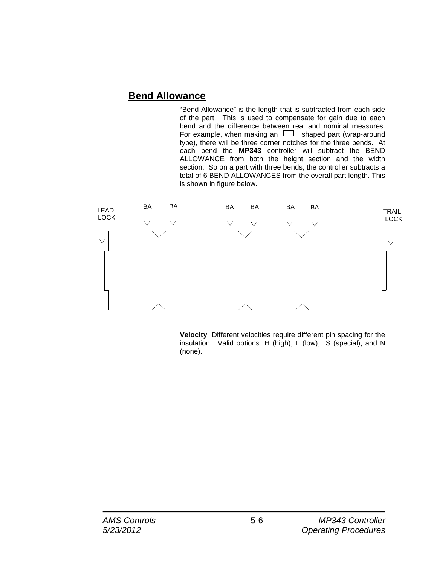### **Bend Allowance**

"Bend Allowance" is the length that is subtracted from each side of the part. This is used to compensate for gain due to each bend and the difference between real and nominal measures. For example, when making an  $\Box$  shaped part (wrap-around type), there will be three corner notches for the three bends. At each bend the **MP343** controller will subtract the BEND ALLOWANCE from both the height section and the width section. So on a part with three bends, the controller subtracts a total of 6 BEND ALLOWANCES from the overall part length. This is shown in figure below.



**Velocity** Different velocities require different pin spacing for the insulation. Valid options: H (high), L (low), S (special), and N (none).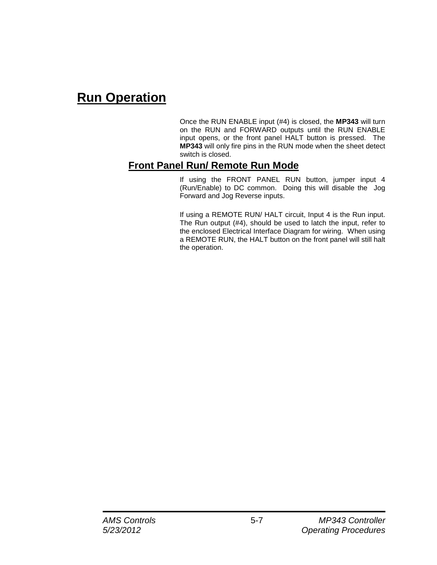# **Run Operation**

Once the RUN ENABLE input (#4) is closed, the **MP343** will turn on the RUN and FORWARD outputs until the RUN ENABLE input opens, or the front panel HALT button is pressed. The **MP343** will only fire pins in the RUN mode when the sheet detect switch is closed.

### **Front Panel Run/ Remote Run Mode**

If using the FRONT PANEL RUN button, jumper input 4 (Run/Enable) to DC common. Doing this will disable the Jog Forward and Jog Reverse inputs.

If using a REMOTE RUN/ HALT circuit, Input 4 is the Run input. The Run output (#4), should be used to latch the input, refer to the enclosed Electrical Interface Diagram for wiring. When using a REMOTE RUN, the HALT button on the front panel will still halt the operation.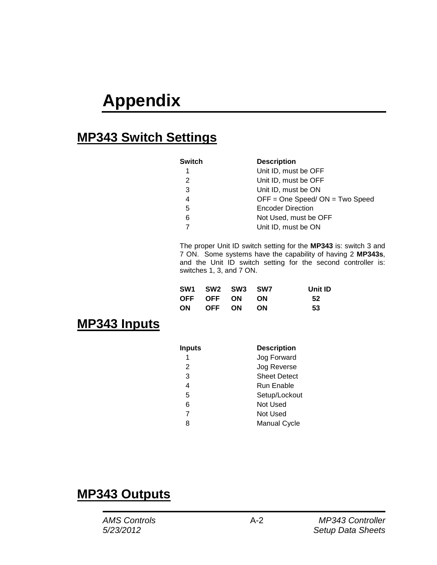# **Appendix**

## **MP343 Switch Settings**

| Switch        | <b>Description</b>                 |
|---------------|------------------------------------|
| 1             | Unit ID, must be OFF               |
| $\mathcal{P}$ | Unit ID, must be OFF               |
| 3             | Unit ID, must be ON                |
| 4             | $OFF = One Speed / ON = Two Speed$ |
| 5             | <b>Encoder Direction</b>           |
| 6             | Not Used, must be OFF              |
|               | Unit ID, must be ON                |

The proper Unit ID switch setting for the **MP343** is: switch 3 and 7 ON. Some systems have the capability of having 2 **MP343s**, and the Unit ID switch setting for the second controller is: switches 1, 3, and 7 ON.

| <b>SW1 SW2 SW3 SW7</b> |  | Unit ID |
|------------------------|--|---------|
| OFF OFF ON ON          |  | 52      |
| ON OFF ON ON           |  | -53     |

## **MP343 Inputs**

| <b>Inputs</b> | <b>Description</b>  |
|---------------|---------------------|
|               | Jog Forward         |
| 2             | Jog Reverse         |
| 3             | <b>Sheet Detect</b> |
| 4             | Run Enable          |
| 5             | Setup/Lockout       |
| 6             | Not Used            |
| 7             | Not Used            |
| 8             | <b>Manual Cycle</b> |

## **MP343 Outputs**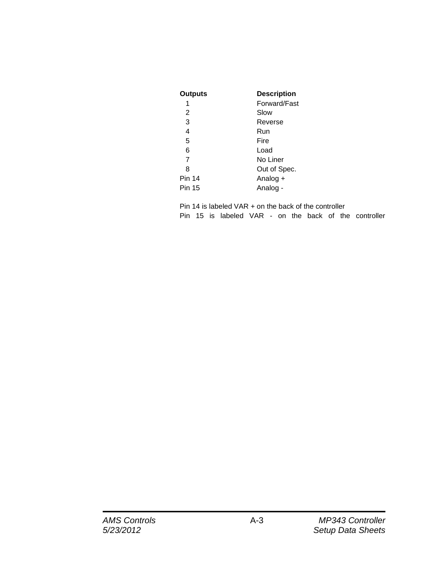| <b>Outputs</b> | <b>Description</b> |
|----------------|--------------------|
| 1              | Forward/Fast       |
| 2              | Slow               |
| 3              | Reverse            |
| 4              | Run                |
| 5              | Fire               |
| 6              | Load               |
| $\overline{7}$ | No Liner           |
| 8              | Out of Spec.       |
| <b>Pin 14</b>  | Analog +           |
| <b>Pin 15</b>  | Analog -           |

Pin 14 is labeled VAR + on the back of the controller Pin 15 is labeled VAR - on the back of the controller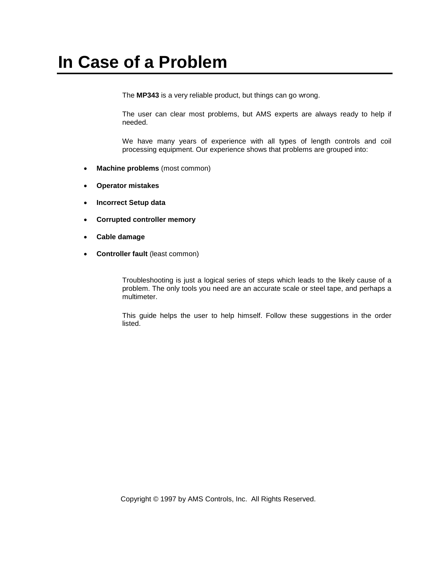The **MP343** is a very reliable product, but things can go wrong.

The user can clear most problems, but AMS experts are always ready to help if needed.

We have many years of experience with all types of length controls and coil processing equipment. Our experience shows that problems are grouped into:

- **Machine problems** (most common)
- **Operator mistakes**
- **Incorrect Setup data**
- **Corrupted controller memory**
- **Cable damage**
- **Controller fault** (least common)

Troubleshooting is just a logical series of steps which leads to the likely cause of a problem. The only tools you need are an accurate scale or steel tape, and perhaps a multimeter.

This guide helps the user to help himself. Follow these suggestions in the order listed.

Copyright © 1997 by AMS Controls, Inc. All Rights Reserved.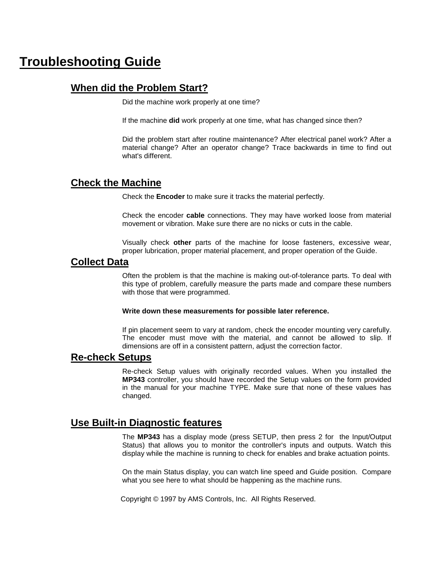### **Troubleshooting Guide**

### **When did the Problem Start?**

Did the machine work properly at one time?

If the machine **did** work properly at one time, what has changed since then?

Did the problem start after routine maintenance? After electrical panel work? After a material change? After an operator change? Trace backwards in time to find out what's different.

#### **Check the Machine**

Check the **Encoder** to make sure it tracks the material perfectly.

Check the encoder **cable** connections. They may have worked loose from material movement or vibration. Make sure there are no nicks or cuts in the cable.

Visually check **other** parts of the machine for loose fasteners, excessive wear, proper lubrication, proper material placement, and proper operation of the Guide.

#### **Collect Data**

Often the problem is that the machine is making out-of-tolerance parts. To deal with this type of problem, carefully measure the parts made and compare these numbers with those that were programmed.

#### **Write down these measurements for possible later reference.**

If pin placement seem to vary at random, check the encoder mounting very carefully. The encoder must move with the material, and cannot be allowed to slip. If dimensions are off in a consistent pattern, adjust the correction factor.

#### **Re-check Setups**

Re-check Setup values with originally recorded values. When you installed the **MP343** controller, you should have recorded the Setup values on the form provided in the manual for your machine TYPE. Make sure that none of these values has changed.

#### **Use Built-in Diagnostic features**

The **MP343** has a display mode (press SETUP, then press 2 for the Input/Output Status) that allows you to monitor the controller's inputs and outputs. Watch this display while the machine is running to check for enables and brake actuation points.

On the main Status display, you can watch line speed and Guide position. Compare what you see here to what should be happening as the machine runs.

Copyright © 1997 by AMS Controls, Inc. All Rights Reserved.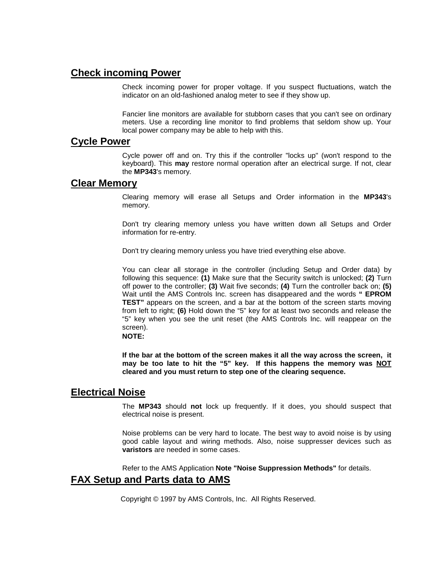#### **Check incoming Power**

Check incoming power for proper voltage. If you suspect fluctuations, watch the indicator on an old-fashioned analog meter to see if they show up.

Fancier line monitors are available for stubborn cases that you can't see on ordinary meters. Use a recording line monitor to find problems that seldom show up. Your local power company may be able to help with this.

#### **Cycle Power**

Cycle power off and on. Try this if the controller "locks up" (won't respond to the keyboard). This **may** restore normal operation after an electrical surge. If not, clear the **MP343**'s memory.

#### **Clear Memory**

Clearing memory will erase all Setups and Order information in the **MP343**'s memory.

Don't try clearing memory unless you have written down all Setups and Order information for re-entry.

Don't try clearing memory unless you have tried everything else above.

You can clear all storage in the controller (including Setup and Order data) by following this sequence: **(1)** Make sure that the Security switch is unlocked; **(2)** Turn off power to the controller; **(3)** Wait five seconds; **(4)** Turn the controller back on; **(5)**  Wait until the AMS Controls Inc. screen has disappeared and the words **" EPROM TEST"** appears on the screen, and a bar at the bottom of the screen starts moving from left to right; **(6)** Hold down the "5" key for at least two seconds and release the "5" key when you see the unit reset (the AMS Controls Inc. will reappear on the screen).

**NOTE:**

**If the bar at the bottom of the screen makes it all the way across the screen, it may be too late to hit the "5" key. If this happens the memory was NOT cleared and you must return to step one of the clearing sequence.**

#### **Electrical Noise**

The **MP343** should **not** lock up frequently. If it does, you should suspect that electrical noise is present.

Noise problems can be very hard to locate. The best way to avoid noise is by using good cable layout and wiring methods. Also, noise suppresser devices such as **varistors** are needed in some cases.

Refer to the AMS Application **Note "Noise Suppression Methods"** for details.

### **FAX Setup and Parts data to AMS**

Copyright © 1997 by AMS Controls, Inc. All Rights Reserved.